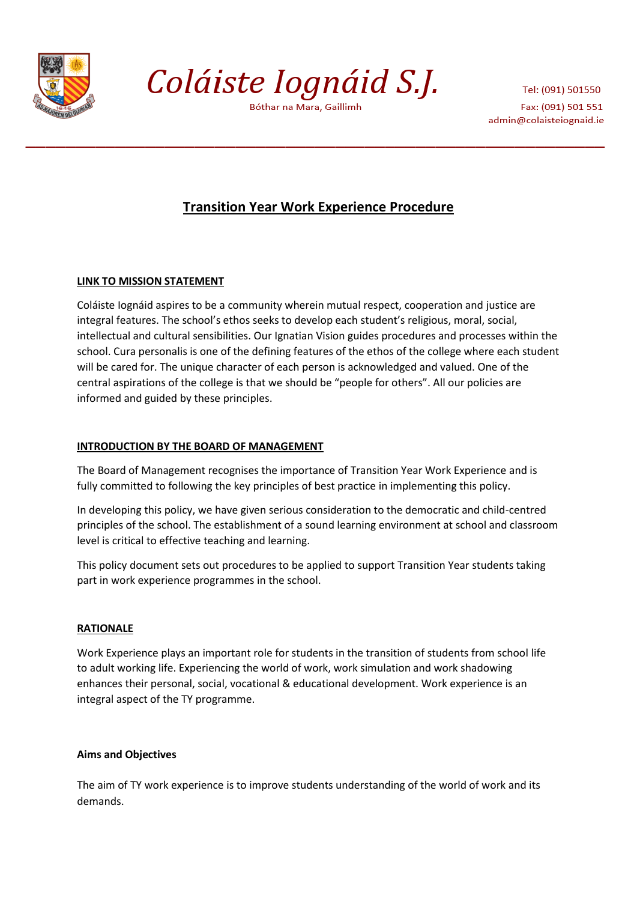

Coláiste Iognáid S.J.

Bóthar na Mara, Gaillimh

Tel: (091) 501550 Fax: (091) 501 551 admin@colaisteiognaid.ie

# **Transition Year Work Experience Procedure**

# **LINK TO MISSION STATEMENT**

Coláiste Iognáid aspires to be a community wherein mutual respect, cooperation and justice are integral features. The school's ethos seeks to develop each student's religious, moral, social, intellectual and cultural sensibilities. Our Ignatian Vision guides procedures and processes within the school. Cura personalis is one of the defining features of the ethos of the college where each student will be cared for. The unique character of each person is acknowledged and valued. One of the central aspirations of the college is that we should be "people for others". All our policies are informed and guided by these principles.

# **INTRODUCTION BY THE BOARD OF MANAGEMENT**

The Board of Management recognises the importance of Transition Year Work Experience and is fully committed to following the key principles of best practice in implementing this policy.

In developing this policy, we have given serious consideration to the democratic and child-centred principles of the school. The establishment of a sound learning environment at school and classroom level is critical to effective teaching and learning.

This policy document sets out procedures to be applied to support Transition Year students taking part in work experience programmes in the school.

# **RATIONALE**

Work Experience plays an important role for students in the transition of students from school life to adult working life. Experiencing the world of work, work simulation and work shadowing enhances their personal, social, vocational & educational development. Work experience is an integral aspect of the TY programme.

# **Aims and Objectives**

The aim of TY work experience is to improve students understanding of the world of work and its demands.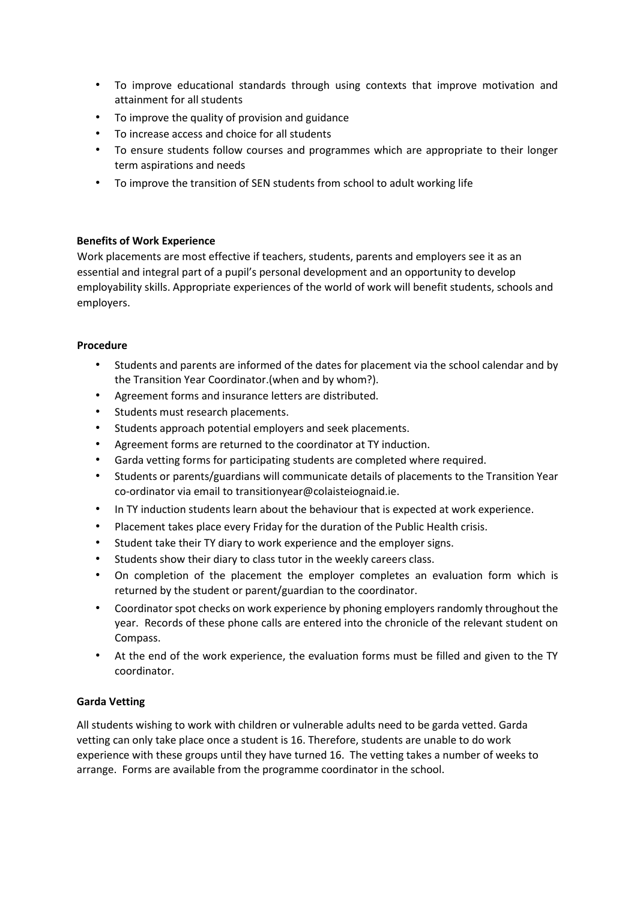- To improve educational standards through using contexts that improve motivation and attainment for all students
- To improve the quality of provision and guidance
- To increase access and choice for all students
- To ensure students follow courses and programmes which are appropriate to their longer term aspirations and needs
- To improve the transition of SEN students from school to adult working life

### **Benefits of Work Experience**

Work placements are most effective if teachers, students, parents and employers see it as an essential and integral part of a pupil's personal development and an opportunity to develop employability skills. Appropriate experiences of the world of work will benefit students, schools and employers.

### **Procedure**

- Students and parents are informed of the dates for placement via the school calendar and by the Transition Year Coordinator.(when and by whom?).
- Agreement forms and insurance letters are distributed.
- Students must research placements.
- Students approach potential employers and seek placements.
- Agreement forms are returned to the coordinator at TY induction.
- Garda vetting forms for participating students are completed where required.
- Students or parents/guardians will communicate details of placements to the Transition Year co-ordinator via email to transitionyear@colaisteiognaid.ie.
- In TY induction students learn about the behaviour that is expected at work experience.
- Placement takes place every Friday for the duration of the Public Health crisis.
- Student take their TY diary to work experience and the employer signs.
- Students show their diary to class tutor in the weekly careers class.
- On completion of the placement the employer completes an evaluation form which is returned by the student or parent/guardian to the coordinator.
- Coordinator spot checks on work experience by phoning employers randomly throughout the year. Records of these phone calls are entered into the chronicle of the relevant student on Compass.
- At the end of the work experience, the evaluation forms must be filled and given to the TY coordinator.

# **Garda Vetting**

All students wishing to work with children or vulnerable adults need to be garda vetted. Garda vetting can only take place once a student is 16. Therefore, students are unable to do work experience with these groups until they have turned 16. The vetting takes a number of weeks to arrange. Forms are available from the programme coordinator in the school.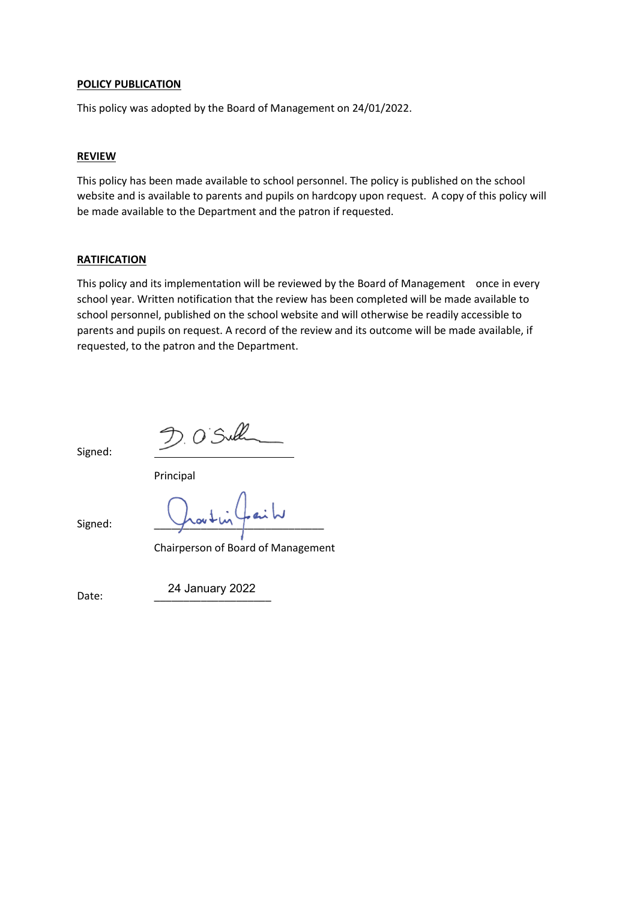#### **POLICY PUBLICATION**

This policy was adopted by the Board of Management on 24/01/2022.

#### **REVIEW**

This policy has been made available to school personnel. The policy is published on the school website and is available to parents and pupils on hardcopy upon request. A copy of this policy will be made available to the Department and the patron if requested.

#### **RATIFICATION**

This policy and its implementation will be reviewed by the Board of Management once in every school year. Written notification that the review has been completed will be made available to school personnel, published on the school website and will otherwise be readily accessible to parents and pupils on request. A record of the review and its outcome will be made available, if requested, to the patron and the Department.

Signed:

 $D.05$ ull

Principal

Signed:

Chairperson of Board of Management

Date: \_\_\_\_\_\_\_\_\_\_\_\_\_\_\_\_\_\_\_\_ 24 January 2022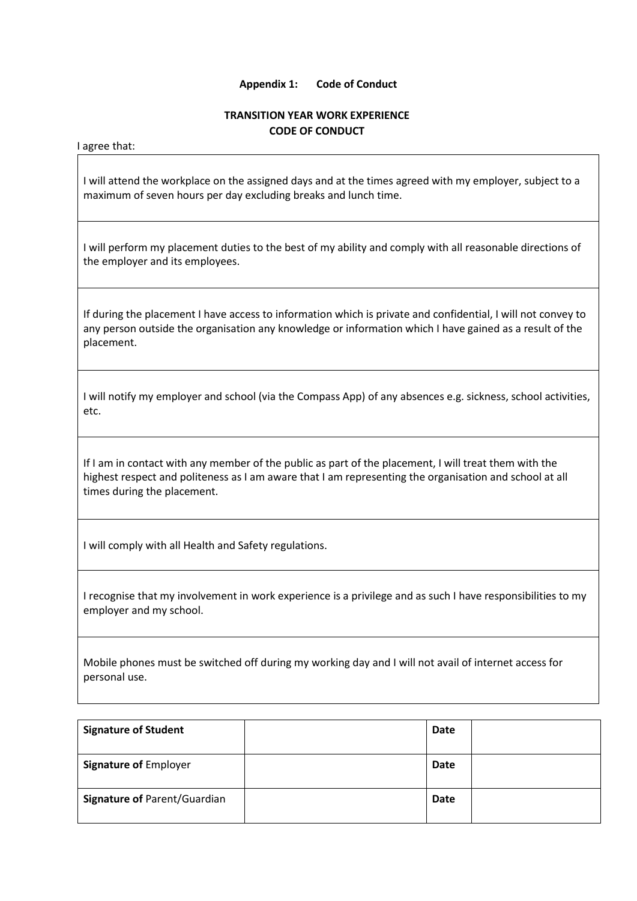#### **Appendix 1: Code of Conduct**

### **TRANSITION YEAR WORK EXPERIENCE CODE OF CONDUCT**

I agree that:

I will attend the workplace on the assigned days and at the times agreed with my employer, subject to a maximum of seven hours per day excluding breaks and lunch time.

I will perform my placement duties to the best of my ability and comply with all reasonable directions of the employer and its employees.

If during the placement I have access to information which is private and confidential, I will not convey to any person outside the organisation any knowledge or information which I have gained as a result of the placement.

I will notify my employer and school (via the Compass App) of any absences e.g. sickness, school activities, etc.

If I am in contact with any member of the public as part of the placement, I will treat them with the highest respect and politeness as I am aware that I am representing the organisation and school at all times during the placement.

I will comply with all Health and Safety regulations.

I recognise that my involvement in work experience is a privilege and as such I have responsibilities to my employer and my school.

Mobile phones must be switched off during my working day and I will not avail of internet access for personal use.

| <b>Signature of Student</b>         | <b>Date</b> |  |
|-------------------------------------|-------------|--|
| <b>Signature of Employer</b>        | <b>Date</b> |  |
| <b>Signature of Parent/Guardian</b> | <b>Date</b> |  |